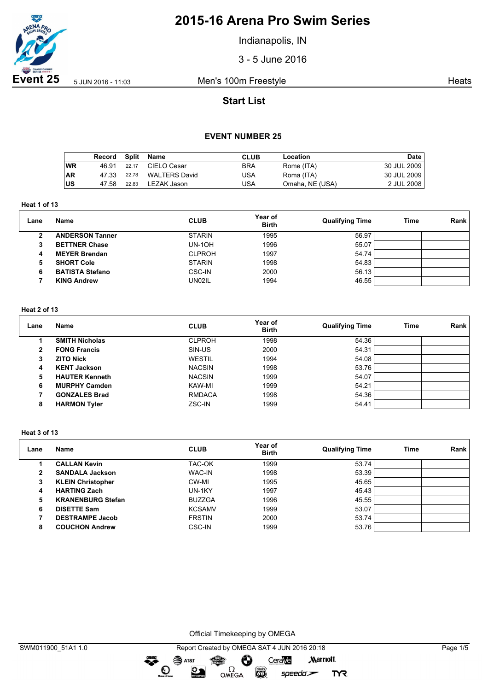

Indianapolis, IN

3 - 5 June 2016

**Event 25** 5 JUN 2016 - 11:03 Men's 100m Freestyle **Heats** Heats

# **Start List**

### **EVENT NUMBER 25**

|           | Record Split |       | Name          | <b>CLUB</b> | Location        | Date        |
|-----------|--------------|-------|---------------|-------------|-----------------|-------------|
| ∣wR       | 46.91        | 22.17 | CIELO Cesar   | BRA         | Rome (ITA)      | 30 JUL 2009 |
| <b>AR</b> | 47.33        | 22.78 | WALTERS David | USA         | Roma (ITA)      | 30 JUL 2009 |
| ∣US       | 47.58        | 22.83 | LEZAK Jason   | JSA         | Omaha, NE (USA) | 2 JUL 2008  |

**Heat 1 of 13**

| Lane         | Name                   | <b>CLUB</b>   | Year of<br><b>Birth</b> | <b>Qualifying Time</b> | Time | Rank |
|--------------|------------------------|---------------|-------------------------|------------------------|------|------|
| $\mathbf{2}$ | <b>ANDERSON Tanner</b> | <b>STARIN</b> | 1995                    | 56.97                  |      |      |
| 3            | <b>BETTNER Chase</b>   | $UN-1OH$      | 1996                    | 55.07                  |      |      |
| 4            | <b>MEYER Brendan</b>   | <b>CLPROH</b> | 1997                    | 54.74                  |      |      |
| 5            | <b>SHORT Cole</b>      | <b>STARIN</b> | 1998                    | 54.83                  |      |      |
| 6            | <b>BATISTA Stefano</b> | CSC-IN        | 2000                    | 56.13                  |      |      |
|              | <b>KING Andrew</b>     | UN02IL        | 1994                    | 46.55                  |      |      |

### **Heat 2 of 13**

| Lane | <b>Name</b>           | <b>CLUB</b>   | Year of<br><b>Birth</b> | <b>Qualifying Time</b> | Time | Rank |
|------|-----------------------|---------------|-------------------------|------------------------|------|------|
|      | <b>SMITH Nicholas</b> | <b>CLPROH</b> | 1998                    | 54.36                  |      |      |
| 2    | <b>FONG Francis</b>   | SIN-US        | 2000                    | 54.31                  |      |      |
| 3    | <b>ZITO Nick</b>      | <b>WESTIL</b> | 1994                    | 54.08                  |      |      |
| 4    | <b>KENT Jackson</b>   | <b>NACSIN</b> | 1998                    | 53.76                  |      |      |
| 5    | <b>HAUTER Kenneth</b> | <b>NACSIN</b> | 1999                    | 54.07                  |      |      |
| 6    | <b>MURPHY Camden</b>  | KAW-MI        | 1999                    | 54.21                  |      |      |
|      | <b>GONZALES Brad</b>  | <b>RMDACA</b> | 1998                    | 54.36                  |      |      |
| 8    | <b>HARMON Tyler</b>   | ZSC-IN        | 1999                    | 54.41                  |      |      |

#### **Heat 3 of 13**

| Lane | Name                     | <b>CLUB</b>   | Year of<br><b>Birth</b> | <b>Qualifying Time</b> | <b>Time</b> | Rank |
|------|--------------------------|---------------|-------------------------|------------------------|-------------|------|
|      | <b>CALLAN Kevin</b>      | TAC-OK        | 1999                    | 53.74                  |             |      |
| 2    | <b>SANDALA Jackson</b>   | <b>WAC-IN</b> | 1998                    | 53.39                  |             |      |
| з    | <b>KLEIN Christopher</b> | CW-MI         | 1995                    | 45.65                  |             |      |
| 4    | <b>HARTING Zach</b>      | UN-1KY        | 1997                    | 45.43                  |             |      |
| 5    | <b>KRANENBURG Stefan</b> | <b>BUZZGA</b> | 1996                    | 45.55                  |             |      |
| 6    | <b>DISETTE Sam</b>       | <b>KCSAMV</b> | 1999                    | 53.07                  |             |      |
|      | <b>DESTRAMPE Jacob</b>   | <b>FRSTIN</b> | 2000                    | 53.74                  |             |      |
| 8    | <b>COUCHON Andrew</b>    | <b>CSC-IN</b> | 1999                    | 53.76                  |             |      |

Official Timekeeping by OMEGA

Ô OMEGA<sup></sup>

 $\overbrace{\phantom{1}}^{\text{mean}}$ 

 $\mathbf{O}$ 

SAT&T

 $\sum_{\text{interior}}$ 

speedo`<del>∠</del>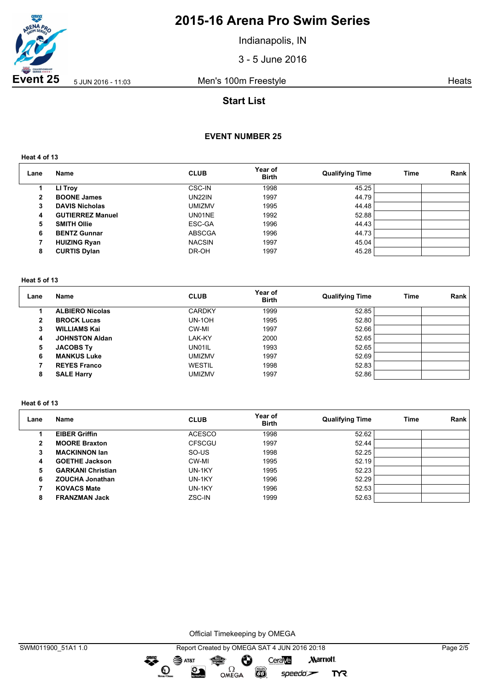

Indianapolis, IN

3 - 5 June 2016

**Event 25** 5 JUN 2016 - 11:03 Men's 100m Freestyle **Heats** Heats

## **Start List**

## **EVENT NUMBER 25**

**Heat 4 of 13**

| Lane | <b>Name</b>             | <b>CLUB</b>   | Year of<br><b>Birth</b> | <b>Qualifying Time</b> | Time | Rank |
|------|-------------------------|---------------|-------------------------|------------------------|------|------|
|      | LI Troy                 | <b>CSC-IN</b> | 1998                    | 45.25                  |      |      |
| 2    | <b>BOONE James</b>      | UN22IN        | 1997                    | 44.79                  |      |      |
| 3    | <b>DAVIS Nicholas</b>   | UMIZMV        | 1995                    | 44.48                  |      |      |
| 4    | <b>GUTIERREZ Manuel</b> | UN01NE        | 1992                    | 52.88                  |      |      |
| 5    | <b>SMITH Ollie</b>      | ESC-GA        | 1996                    | 44.43                  |      |      |
| 6    | <b>BENTZ Gunnar</b>     | <b>ABSCGA</b> | 1996                    | 44.73                  |      |      |
|      | <b>HUIZING Ryan</b>     | <b>NACSIN</b> | 1997                    | 45.04                  |      |      |
| 8    | <b>CURTIS Dylan</b>     | DR-OH         | 1997                    | 45.28                  |      |      |

#### **Heat 5 of 13**

| Lane         | Name                   | <b>CLUB</b>   | Year of<br><b>Birth</b> | <b>Qualifying Time</b> | Time | Rank |
|--------------|------------------------|---------------|-------------------------|------------------------|------|------|
|              | <b>ALBIERO Nicolas</b> | <b>CARDKY</b> | 1999                    | 52.85                  |      |      |
| $\mathbf{2}$ | <b>BROCK Lucas</b>     | <b>UN-10H</b> | 1995                    | 52.80                  |      |      |
| 3            | <b>WILLIAMS Kai</b>    | CW-MI         | 1997                    | 52.66                  |      |      |
| 4            | <b>JOHNSTON Aldan</b>  | LAK-KY        | 2000                    | 52.65                  |      |      |
| 5            | <b>JACOBS Ty</b>       | UN01IL        | 1993                    | 52.65                  |      |      |
| 6            | <b>MANKUS Luke</b>     | <b>UMIZMV</b> | 1997                    | 52.69                  |      |      |
|              | <b>REYES Franco</b>    | <b>WESTIL</b> | 1998                    | 52.83                  |      |      |
| 8            | <b>SALE Harry</b>      | <b>UMIZMV</b> | 1997                    | 52.86                  |      |      |

### **Heat 6 of 13**

| Lane | Name                     | <b>CLUB</b>   | Year of<br><b>Birth</b> | <b>Qualifying Time</b> | Time | <b>Rank</b> |
|------|--------------------------|---------------|-------------------------|------------------------|------|-------------|
|      | <b>EIBER Griffin</b>     | <b>ACESCO</b> | 1998                    | 52.62                  |      |             |
| 2    | <b>MOORE Braxton</b>     | <b>CFSCGU</b> | 1997                    | 52.44                  |      |             |
| 3    | <b>MACKINNON lan</b>     | SO-US         | 1998                    | 52.25                  |      |             |
| 4    | <b>GOETHE Jackson</b>    | CW-MI         | 1995                    | 52.19                  |      |             |
| 5    | <b>GARKANI Christian</b> | UN-1KY        | 1995                    | 52.23                  |      |             |
| 6    | <b>ZOUCHA Jonathan</b>   | UN-1KY        | 1996                    | 52.29                  |      |             |
|      | <b>KOVACS Mate</b>       | UN-1KY        | 1996                    | 52.53                  |      |             |
| 8    | <b>FRANZMAN Jack</b>     | ZSC-IN        | 1999                    | 52.63                  |      |             |

Official Timekeeping by OMEGA

dreng: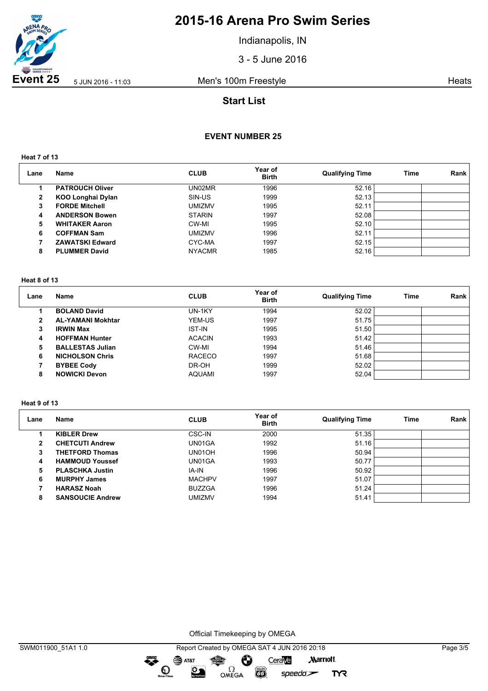

Indianapolis, IN

3 - 5 June 2016

**Event 25** 5 JUN 2016 - 11:03 Men's 100m Freestyle **Heats** Heats

## **Start List**

## **EVENT NUMBER 25**

**Heat 7 of 13**

| Lane | Name                     | <b>CLUB</b>   | Year of<br><b>Birth</b> | <b>Qualifying Time</b> | Time | Rank |
|------|--------------------------|---------------|-------------------------|------------------------|------|------|
|      | <b>PATROUCH Oliver</b>   | UN02MR        | 1996                    | 52.16                  |      |      |
| 2    | <b>KOO Longhai Dylan</b> | SIN-US        | 1999                    | 52.13                  |      |      |
| 3    | <b>FORDE Mitchell</b>    | <b>UMIZMV</b> | 1995                    | 52.11                  |      |      |
| 4    | <b>ANDERSON Bowen</b>    | <b>STARIN</b> | 1997                    | 52.08                  |      |      |
| 5    | <b>WHITAKER Aaron</b>    | CW-MI         | 1995                    | 52.10                  |      |      |
| 6    | <b>COFFMAN Sam</b>       | <b>UMIZMV</b> | 1996                    | 52.11                  |      |      |
|      | <b>ZAWATSKI Edward</b>   | CYC-MA        | 1997                    | 52.15                  |      |      |
| 8    | <b>PLUMMER David</b>     | <b>NYACMR</b> | 1985                    | 52.16                  |      |      |

#### **Heat 8 of 13**

| Lane         | Name                     | <b>CLUB</b>   | Year of<br><b>Birth</b> | <b>Qualifying Time</b> | Time | Rank |
|--------------|--------------------------|---------------|-------------------------|------------------------|------|------|
|              | <b>BOLAND David</b>      | UN-1KY        | 1994                    | 52.02                  |      |      |
| $\mathbf{2}$ | <b>AL-YAMANI Mokhtar</b> | YEM-US        | 1997                    | 51.75                  |      |      |
| 3            | <b>IRWIN Max</b>         | <b>IST-IN</b> | 1995                    | 51.50                  |      |      |
| 4            | <b>HOFFMAN Hunter</b>    | <b>ACACIN</b> | 1993                    | 51.42                  |      |      |
| 5            | <b>BALLESTAS Julian</b>  | CW-MI         | 1994                    | 51.46                  |      |      |
| 6            | <b>NICHOLSON Chris</b>   | <b>RACECO</b> | 1997                    | 51.68                  |      |      |
|              | <b>BYBEE Cody</b>        | DR-OH         | 1999                    | 52.02                  |      |      |
| 8            | <b>NOWICKI Devon</b>     | <b>AQUAMI</b> | 1997                    | 52.04                  |      |      |

### **Heat 9 of 13**

| Lane | Name                    | <b>CLUB</b>   | Year of<br><b>Birth</b> | <b>Qualifying Time</b> | Time | Rank |
|------|-------------------------|---------------|-------------------------|------------------------|------|------|
|      | <b>KIBLER Drew</b>      | CSC-IN        | 2000                    | 51.35                  |      |      |
| 2    | <b>CHETCUTI Andrew</b>  | UN01GA        | 1992                    | 51.16                  |      |      |
| 3    | <b>THETFORD Thomas</b>  | UN01OH        | 1996                    | 50.94                  |      |      |
| 4    | <b>HAMMOUD Youssef</b>  | UN01GA        | 1993                    | 50.77                  |      |      |
| 5    | <b>PLASCHKA Justin</b>  | IA-IN         | 1996                    | 50.92                  |      |      |
| 6    | <b>MURPHY James</b>     | <b>MACHPV</b> | 1997                    | 51.07                  |      |      |
|      | <b>HARASZ Noah</b>      | <b>BUZZGA</b> | 1996                    | 51.24                  |      |      |
| 8    | <b>SANSOUCIE Andrew</b> | <b>UMIZMV</b> | 1994                    | 51.41                  |      |      |

Official Timekeeping by OMEGA

dreng: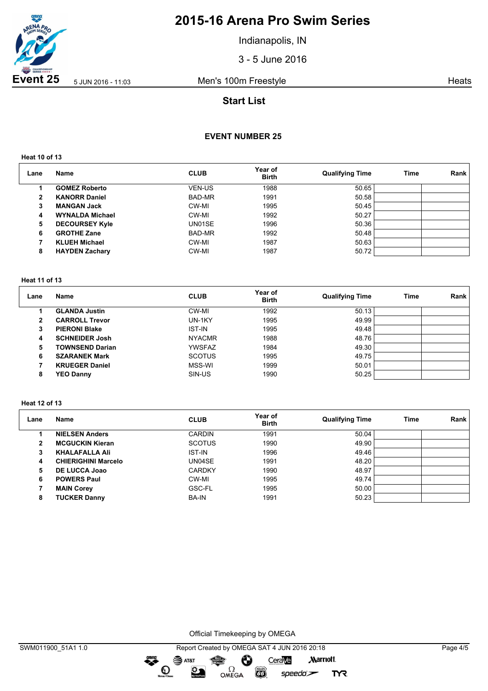

Indianapolis, IN

3 - 5 June 2016

**Event 25** 5 JUN 2016 - 11:03 Men's 100m Freestyle **Heats** Heats

## **Start List**

### **EVENT NUMBER 25**

**Heat 10 of 13**

| Lane | Name                   | <b>CLUB</b>   | Year of<br><b>Birth</b> | <b>Qualifying Time</b> | Time | Rank |
|------|------------------------|---------------|-------------------------|------------------------|------|------|
|      | <b>GOMEZ Roberto</b>   | <b>VEN-US</b> | 1988                    | 50.65                  |      |      |
| 2    | <b>KANORR Daniel</b>   | BAD-MR        | 1991                    | 50.58                  |      |      |
| 3    | <b>MANGAN Jack</b>     | CW-MI         | 1995                    | 50.45                  |      |      |
| 4    | <b>WYNALDA Michael</b> | CW-MI         | 1992                    | 50.27                  |      |      |
| 5    | <b>DECOURSEY Kyle</b>  | UN01SE        | 1996                    | 50.36                  |      |      |
| 6    | <b>GROTHE Zane</b>     | BAD-MR        | 1992                    | 50.48                  |      |      |
|      | <b>KLUEH Michael</b>   | CW-MI         | 1987                    | 50.63                  |      |      |
| 8    | <b>HAYDEN Zachary</b>  | CW-MI         | 1987                    | 50.72                  |      |      |

### **Heat 11 of 13**

| Lane | Name                   | <b>CLUB</b>   | Year of<br><b>Birth</b> | <b>Qualifying Time</b> | Time | Rank |
|------|------------------------|---------------|-------------------------|------------------------|------|------|
|      | <b>GLANDA Justin</b>   | CW-MI         | 1992                    | 50.13                  |      |      |
| 2    | <b>CARROLL Trevor</b>  | UN-1KY        | 1995                    | 49.99                  |      |      |
| 3    | <b>PIERONI Blake</b>   | <b>IST-IN</b> | 1995                    | 49.48                  |      |      |
| 4    | <b>SCHNEIDER Josh</b>  | <b>NYACMR</b> | 1988                    | 48.76                  |      |      |
| 5    | <b>TOWNSEND Darian</b> | YWSFAZ        | 1984                    | 49.30                  |      |      |
| 6    | <b>SZARANEK Mark</b>   | <b>SCOTUS</b> | 1995                    | 49.75                  |      |      |
|      | <b>KRUEGER Daniel</b>  | MSS-WI        | 1999                    | 50.01                  |      |      |
| 8    | <b>YEO Danny</b>       | SIN-US        | 1990                    | 50.25                  |      |      |

#### **Heat 12 of 13**

| Lane           | <b>Name</b>                | <b>CLUB</b>   | Year of<br><b>Birth</b> | <b>Qualifying Time</b> | Time | Rank |
|----------------|----------------------------|---------------|-------------------------|------------------------|------|------|
|                | <b>NIELSEN Anders</b>      | <b>CARDIN</b> | 1991                    | 50.04                  |      |      |
| $\overline{2}$ | <b>MCGUCKIN Kieran</b>     | <b>SCOTUS</b> | 1990                    | 49.90                  |      |      |
| 3              | <b>KHALAFALLA Ali</b>      | <b>IST-IN</b> | 1996                    | 49.46                  |      |      |
| 4              | <b>CHIERIGHINI Marcelo</b> | UN04SE        | 1991                    | 48.20                  |      |      |
| 5              | DE LUCCA Joao              | <b>CARDKY</b> | 1990                    | 48.97                  |      |      |
| 6              | <b>POWERS Paul</b>         | CW-MI         | 1995                    | 49.74                  |      |      |
|                | <b>MAIN Corey</b>          | GSC-FL        | 1995                    | 50.00                  |      |      |
| 8              | <b>TUCKER Danny</b>        | <b>BA-IN</b>  | 1991                    | 50.23                  |      |      |

Official Timekeeping by OMEGA

 $\overbrace{\phantom{1}}^{\text{mean}}$ 

 $\odot$ 

 $\mathfrak{D}$ 

SWM011900\_51A1 1.0 Report Created by OMEGA SAT 4 JUN 2016 20:18 Page 4/5  $\mathbf{S}$  AT&T Ô CeraVe **Marriott** OMEGA

**CO** 

speedo`<del>∠</del>

**TYR**